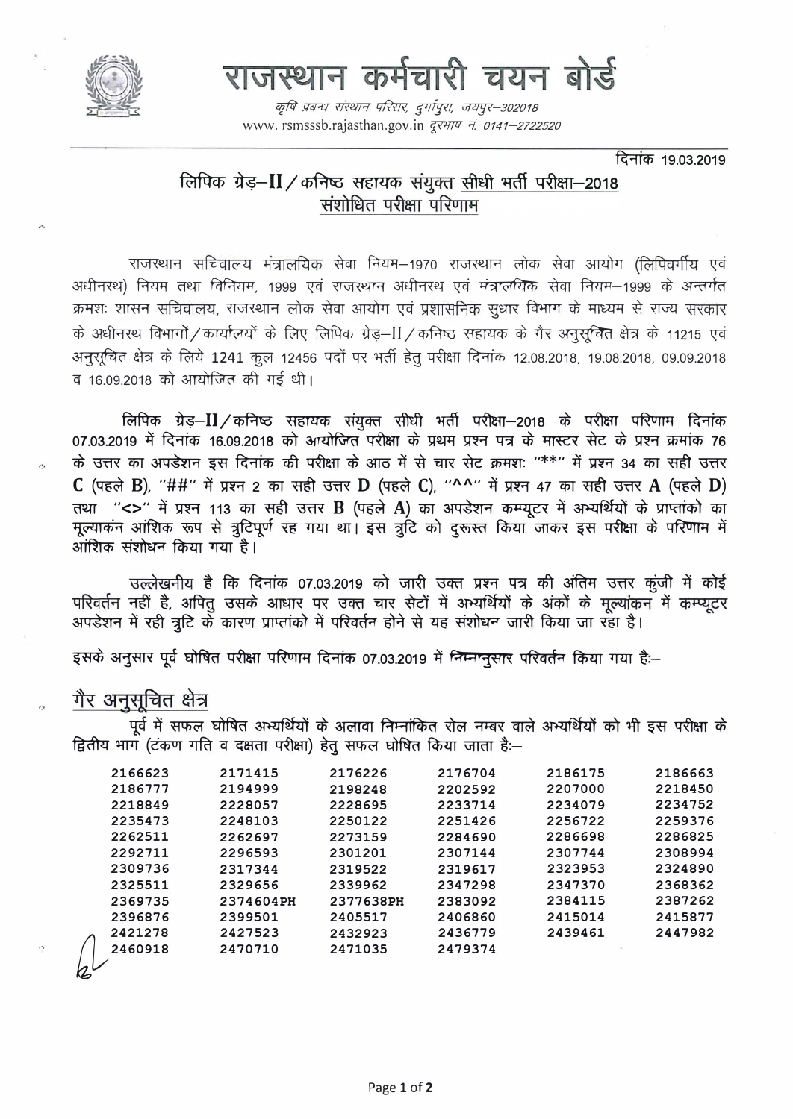

# राजस्थान कर्मचारी चयन बोर्ड

कृषि प्रबन्ध संस्थान परिसर, दुर्गापुरा, जयपुर–302018 www.rsmsssb.rajasthan.gov.jn *दरभाष न.0141-2722520* 

दिनांक 19.03.2019

## लिपिक ग्रेड़-II / कनिष्ठ सहायक संयुक्त सीधी भर्ती परीक्षा-2018 संशोधित परीक्षा परिणाम

राजस्थान सचिवालय मंत्रालयिक सेवा नियम–1970 राजस्थान लोक सेवा आयोग (लिपिवर्गीय एवं अधीनस्थ) नियम तथा विनियम, 1999 एवं राजस्थान अधीनस्थ एवं मंत्रालयिक सेवा नियम-1999 के अन्तर्गत क्रमशः शासन सचिवालय, राजरथान लोक सेवा आयोग एवं प्रशासनिक सुधार विभाग के माध्यम से राज्य सरकार के अधीनस्थ विभागों / कार्यालयों के लिए लिपिक ग्रेड़-II / कनिष्ठ सहायक के गैर अनुसूचित क्षेत्र के 11215 एवं अनुसूचित क्षेत्र के लिये 1241 कूल 12456 पदों पर भर्ती हेतु परीक्षा दिनांक 12.08.2018, 19.08.2018, 09.09.2018 व 16.09.2018 को आयोजित की गई थी।

लिपिक ग्रेड़–II/कनिष्ठ सहायक संयुक्त सीधी भर्ती परीक्षा–2018 के परीक्षा परिणाम दिनांक 07.03.2019 में दिनांक 16.09.2018 को अर्थाजित परीक्षा के प्रथम प्रश्न पत्र के मास्टर सेट के प्रश्न क्रमांक 76 के उत्तर का अपडेशन इस दिनांक की परीक्षा के आठ में से चार सेट क्रमशः "\*\*" में प्रश्न 34 का सही उत्तर C (पहले B), "##" में प्रश्न 2 का सही उत्तर D (पहले C), "^^" में प्रश्न 47 का सही उत्तर A (पहले D) तथा "<>" में प्रश्न 113 का सही उत्तर B (पहले A) का अपडेशन कम्प्यूटर में अभ्यर्थियों के प्राप्तांको का मूल्याकन आंशिक रूप से त्रुटिपूर्ण रह गया था। इस त्रुटि को दुरूस्त किया जाकर इस परीक्षा के परिणाम में आंशिक संशोधन किया गया है।

उल्लेखनीय है कि दिनांक 07.03.2019 को जारी उक्त प्रश्न पत्र की अंतिम उत्तर कुंजी में कोई परिवर्तन नहीं है, अपित् उसके आधार पर उक्त चार सेटों में अभ्यर्थियों के अंकों के मुल्यांकन में कम्प्यूटर अपडेशन में रही त्रूटि के कारण प्राप्तांको में परिवर्तन होने से यह संशोधन जारी किया जा रहा है।

इसके अनुसार पूर्व घोषित परीक्षा परिणाम दिनांक 07.03.2019 में निम्नानुसार परिवर्तन किया गया है:-

### गैर अनुसूचित क्षेत्र

पूर्व में सफल घोषित अभ्यर्थियों के अलावा निम्नांकित रोल नम्बर वाले अभ्यर्थियों को भी इस परीक्षा के द्वितीय भाग (टंकण गति व दक्षता परीक्षा) हेतु सफल घोषित किया जाता है:-

| 2166623 | 2171415   | 2176226   | 2176704 | 2186175 | 2186663 |
|---------|-----------|-----------|---------|---------|---------|
| 2186777 | 2194999   | 2198248   | 2202592 | 2207000 | 2218450 |
| 2218849 | 2228057   | 2228695   | 2233714 | 2234079 | 2234752 |
| 2235473 | 2248103   | 2250122   | 2251426 | 2256722 | 2259376 |
| 2262511 | 2262697   | 2273159   | 2284690 | 2286698 | 2286825 |
| 2292711 | 2296593   | 2301201   | 2307144 | 2307744 | 2308994 |
| 2309736 | 2317344   | 2319522   | 2319617 | 2323953 | 2324890 |
| 2325511 | 2329656   | 2339962   | 2347298 | 2347370 | 2368362 |
| 2369735 | 2374604PH | 2377638PH | 2383092 | 2384115 | 2387262 |
| 2396876 | 2399501   | 2405517   | 2406860 | 2415014 | 2415877 |
| 2421278 | 2427523   | 2432923   | 2436779 | 2439461 | 2447982 |
| 2460918 | 2470710   | 2471035   | 2479374 |         |         |
|         |           |           |         |         |         |